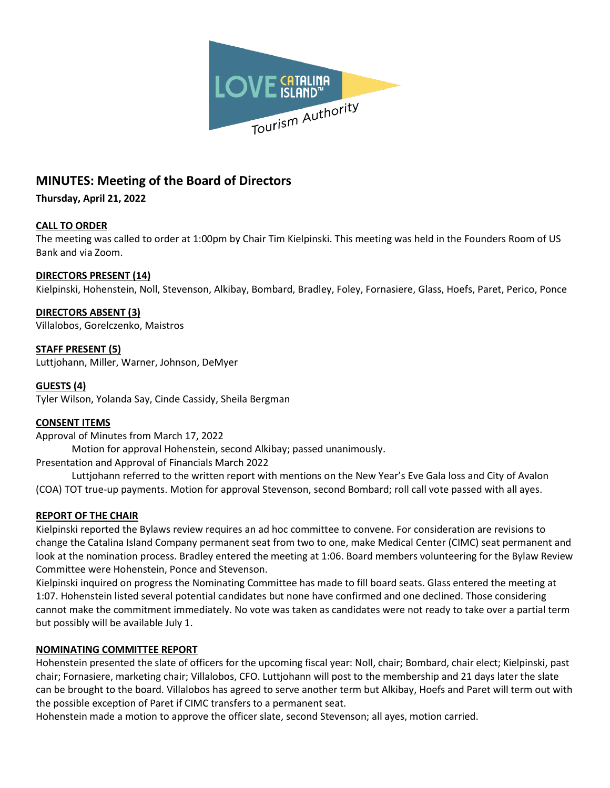

# **MINUTES: Meeting of the Board of Directors**

**Thursday, April 21, 2022**

## **CALL TO ORDER**

The meeting was called to order at 1:00pm by Chair Tim Kielpinski. This meeting was held in the Founders Room of US Bank and via Zoom.

## **DIRECTORS PRESENT (14)**

Kielpinski, Hohenstein, Noll, Stevenson, Alkibay, Bombard, Bradley, Foley, Fornasiere, Glass, Hoefs, Paret, Perico, Ponce

## **DIRECTORS ABSENT (3)**

Villalobos, Gorelczenko, Maistros

**STAFF PRESENT (5)** Luttjohann, Miller, Warner, Johnson, DeMyer

## **GUESTS (4)**

Tyler Wilson, Yolanda Say, Cinde Cassidy, Sheila Bergman

## **CONSENT ITEMS**

Approval of Minutes from March 17, 2022

Motion for approval Hohenstein, second Alkibay; passed unanimously.

Presentation and Approval of Financials March 2022

Luttjohann referred to the written report with mentions on the New Year's Eve Gala loss and City of Avalon (COA) TOT true-up payments. Motion for approval Stevenson, second Bombard; roll call vote passed with all ayes.

## **REPORT OF THE CHAIR**

Kielpinski reported the Bylaws review requires an ad hoc committee to convene. For consideration are revisions to change the Catalina Island Company permanent seat from two to one, make Medical Center (CIMC) seat permanent and look at the nomination process. Bradley entered the meeting at 1:06. Board members volunteering for the Bylaw Review Committee were Hohenstein, Ponce and Stevenson.

Kielpinski inquired on progress the Nominating Committee has made to fill board seats. Glass entered the meeting at 1:07. Hohenstein listed several potential candidates but none have confirmed and one declined. Those considering cannot make the commitment immediately. No vote was taken as candidates were not ready to take over a partial term but possibly will be available July 1.

## **NOMINATING COMMITTEE REPORT**

Hohenstein presented the slate of officers for the upcoming fiscal year: Noll, chair; Bombard, chair elect; Kielpinski, past chair; Fornasiere, marketing chair; Villalobos, CFO. Luttjohann will post to the membership and 21 days later the slate can be brought to the board. Villalobos has agreed to serve another term but Alkibay, Hoefs and Paret will term out with the possible exception of Paret if CIMC transfers to a permanent seat.

Hohenstein made a motion to approve the officer slate, second Stevenson; all ayes, motion carried.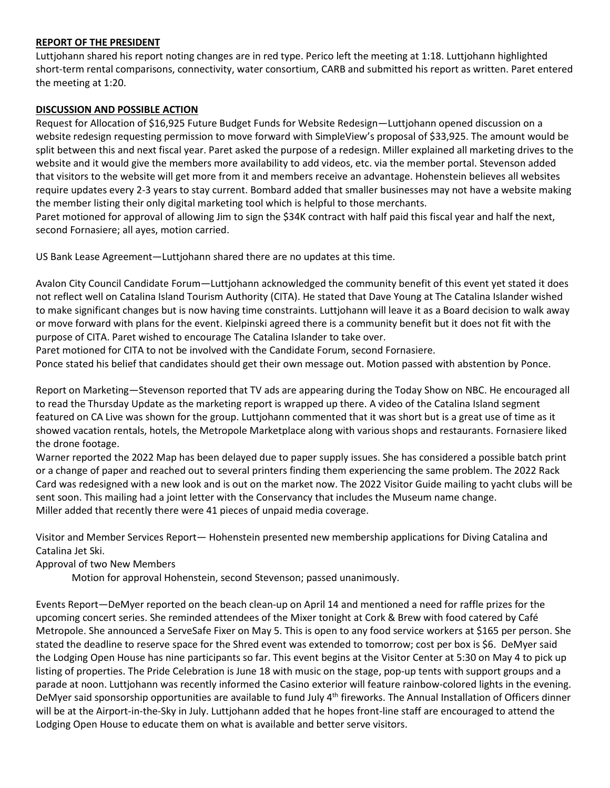#### **REPORT OF THE PRESIDENT**

Luttjohann shared his report noting changes are in red type. Perico left the meeting at 1:18. Luttjohann highlighted short-term rental comparisons, connectivity, water consortium, CARB and submitted his report as written. Paret entered the meeting at 1:20.

#### **DISCUSSION AND POSSIBLE ACTION**

Request for Allocation of \$16,925 Future Budget Funds for Website Redesign—Luttjohann opened discussion on a website redesign requesting permission to move forward with SimpleView's proposal of \$33,925. The amount would be split between this and next fiscal year. Paret asked the purpose of a redesign. Miller explained all marketing drives to the website and it would give the members more availability to add videos, etc. via the member portal. Stevenson added that visitors to the website will get more from it and members receive an advantage. Hohenstein believes all websites require updates every 2-3 years to stay current. Bombard added that smaller businesses may not have a website making the member listing their only digital marketing tool which is helpful to those merchants. Paret motioned for approval of allowing Jim to sign the \$34K contract with half paid this fiscal year and half the next, second Fornasiere; all ayes, motion carried.

US Bank Lease Agreement—Luttjohann shared there are no updates at this time.

Avalon City Council Candidate Forum—Luttjohann acknowledged the community benefit of this event yet stated it does not reflect well on Catalina Island Tourism Authority (CITA). He stated that Dave Young at The Catalina Islander wished to make significant changes but is now having time constraints. Luttjohann will leave it as a Board decision to walk away or move forward with plans for the event. Kielpinski agreed there is a community benefit but it does not fit with the purpose of CITA. Paret wished to encourage The Catalina Islander to take over.

Paret motioned for CITA to not be involved with the Candidate Forum, second Fornasiere.

Ponce stated his belief that candidates should get their own message out. Motion passed with abstention by Ponce.

Report on Marketing—Stevenson reported that TV ads are appearing during the Today Show on NBC. He encouraged all to read the Thursday Update as the marketing report is wrapped up there. A video of the Catalina Island segment featured on CA Live was shown for the group. Luttjohann commented that it was short but is a great use of time as it showed vacation rentals, hotels, the Metropole Marketplace along with various shops and restaurants. Fornasiere liked the drone footage.

Warner reported the 2022 Map has been delayed due to paper supply issues. She has considered a possible batch print or a change of paper and reached out to several printers finding them experiencing the same problem. The 2022 Rack Card was redesigned with a new look and is out on the market now. The 2022 Visitor Guide mailing to yacht clubs will be sent soon. This mailing had a joint letter with the Conservancy that includes the Museum name change. Miller added that recently there were 41 pieces of unpaid media coverage.

Visitor and Member Services Report— Hohenstein presented new membership applications for Diving Catalina and Catalina Jet Ski.

Approval of two New Members

Motion for approval Hohenstein, second Stevenson; passed unanimously.

Events Report—DeMyer reported on the beach clean-up on April 14 and mentioned a need for raffle prizes for the upcoming concert series. She reminded attendees of the Mixer tonight at Cork & Brew with food catered by Café Metropole. She announced a ServeSafe Fixer on May 5. This is open to any food service workers at \$165 per person. She stated the deadline to reserve space for the Shred event was extended to tomorrow; cost per box is \$6. DeMyer said the Lodging Open House has nine participants so far. This event begins at the Visitor Center at 5:30 on May 4 to pick up listing of properties. The Pride Celebration is June 18 with music on the stage, pop-up tents with support groups and a parade at noon. Luttjohann was recently informed the Casino exterior will feature rainbow-colored lights in the evening. DeMyer said sponsorship opportunities are available to fund July  $4<sup>th</sup>$  fireworks. The Annual Installation of Officers dinner will be at the Airport-in-the-Sky in July. Luttjohann added that he hopes front-line staff are encouraged to attend the Lodging Open House to educate them on what is available and better serve visitors.